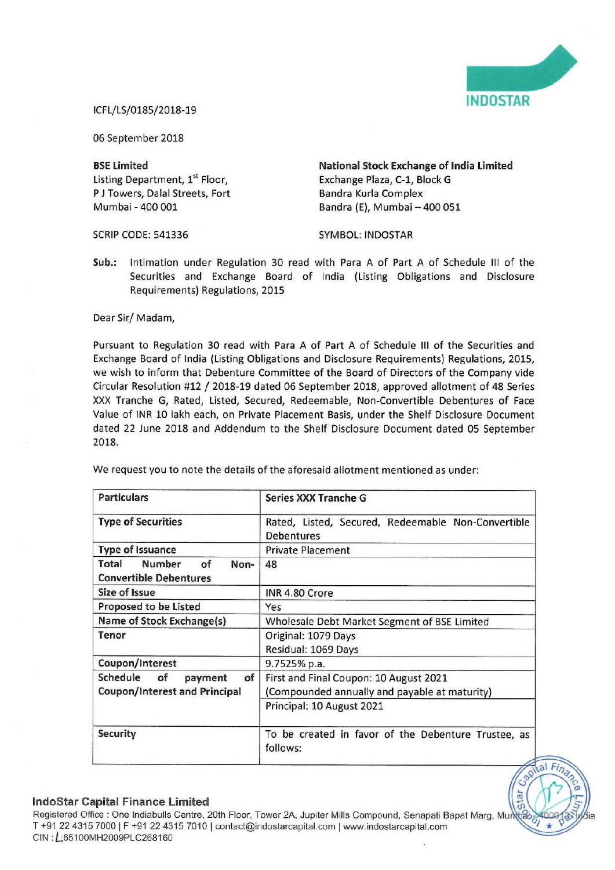

<u>iel</u>

## iCFL/LS/0185/2018-19

06 September 2018

Listing Department, 1" Floor, Exchange Plaza, C-1, Block <sup>G</sup> P J Towers, Dalal Streets, Fort Bandra Kurla Complex<br>
Mumbai - 400 001 Bandra (E). Mumbai -

BSE Limited **National Stock Exchange of India Limited** Bandra (E), Mumbai - 400 051

SCRIP CODE: 541336 SYMBOL: INDOSTAR

Sub.: Intimation under Regulation 30 read with Para <sup>A</sup> of Part <sup>A</sup> of Schedule III of the Securities and Exchange Board of India (Listing Obligations and Disclosure Requirements) Regulations, 2015

## Dear Sir/ Madam,

Pursuant to Regulation 30 read with Para A of Part A of Schedule III of the Securities and Exchange Board of India (Listing Obligations and Disclosure Requirements) Regulations, 2015, we wish to inform that Debenture Committee of the Board of Directors of the Company vide Circular Resolution #12 / 2018-19 dated <sup>06</sup> September 2018, approved allotment of <sup>48</sup> Series XXX Tranche 6, Rated, Listed, Secured, Redeemable, Non-Convertible Debentures of Face Value of INR 10 lakh each, on Private Placement Basis, under the Shelf Disclosure Document dated 22 June 2018 and Addendum to the Shelf Disclosure Document dated 05 September 2018.

| <b>Particulars</b>                                                      | <b>Series XXX Tranche G</b>                                                                                          |
|-------------------------------------------------------------------------|----------------------------------------------------------------------------------------------------------------------|
| <b>Type of Securities</b>                                               | Rated, Listed, Secured, Redeemable Non-Convertible<br><b>Debentures</b>                                              |
| <b>Type of Issuance</b>                                                 | <b>Private Placement</b>                                                                                             |
| <b>Number</b><br>of<br>Total<br>Non-<br><b>Convertible Debentures</b>   | 48                                                                                                                   |
| Size of Issue                                                           | INR 4.80 Crore                                                                                                       |
| <b>Proposed to be Listed</b>                                            | Yes                                                                                                                  |
| Name of Stock Exchange(s)                                               | Wholesale Debt Market Segment of BSE Limited                                                                         |
| Tenor                                                                   | Original: 1079 Days<br>Residual: 1069 Days                                                                           |
| Coupon/Interest                                                         | 9.7525% p.a.                                                                                                         |
| Schedule<br>of<br>of<br>payment<br><b>Coupon/Interest and Principal</b> | First and Final Coupon: 10 August 2021<br>(Compounded annually and payable at maturity)<br>Principal: 10 August 2021 |
| <b>Security</b>                                                         | To be created in favor of the Debenture Trustee, as<br>follows:                                                      |

We request you to note the details of the aforesaid allotment mentioned as under:

## IndoStar Capital Finance Limited

Registered Office : One Indiabulls Centre, 20th Floor, Tower 2A, Jupiter Mills Compound, Senapati Bapat Marg, Munos T +91 22 4315 7000 | F +91 22 4315 7010 | contact@indostarcapital.com | www.indostarcapital.com ClN ,L55100MH2009PLC268160